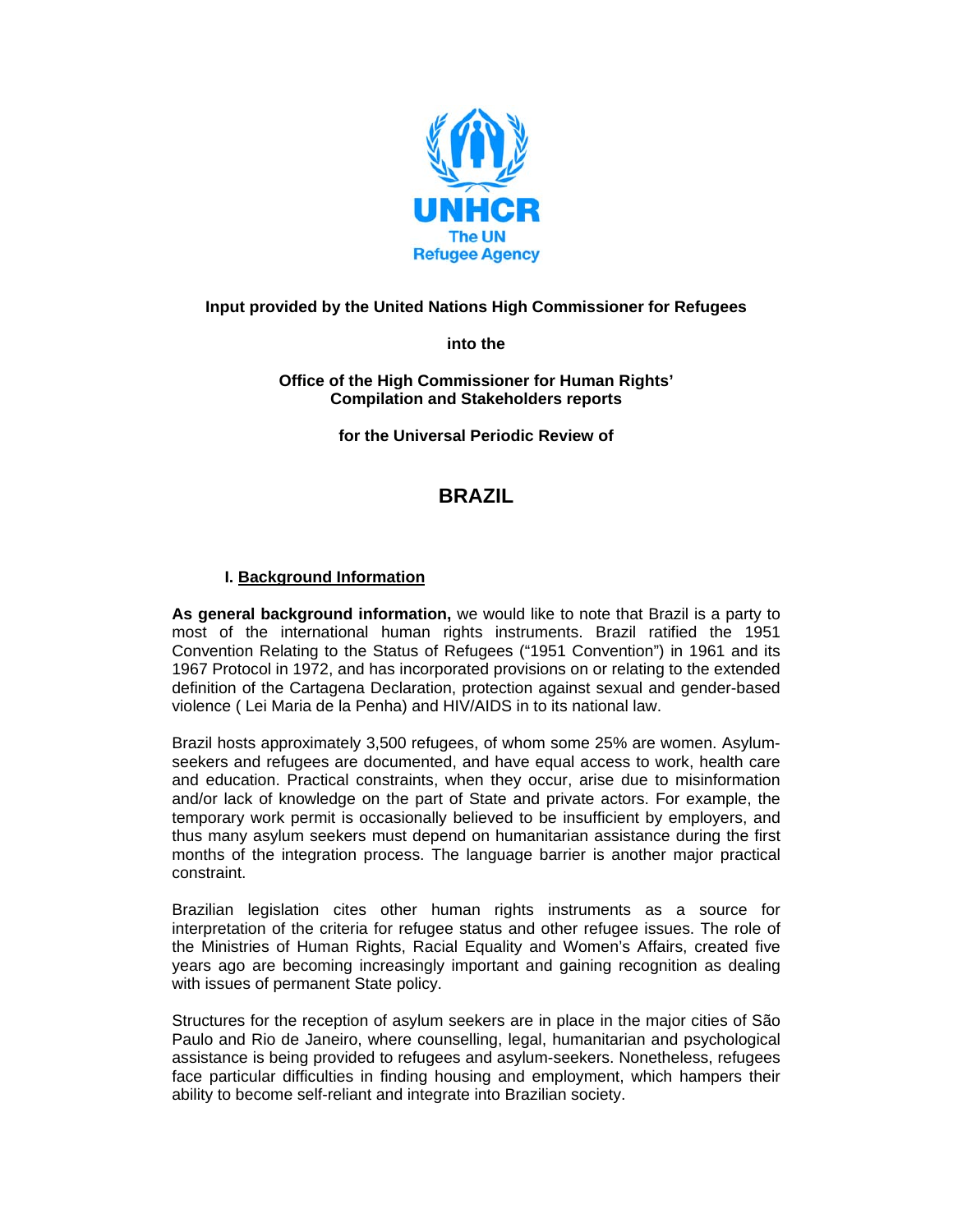

## **Input provided by the United Nations High Commissioner for Refugees**

**into the** 

**Office of the High Commissioner for Human Rights' Compilation and Stakeholders reports** 

**for the Universal Periodic Review of** 

# **BRAZIL**

### **I. Background Information**

**As general background information,** we would like to note that Brazil is a party to most of the international human rights instruments. Brazil ratified the 1951 Convention Relating to the Status of Refugees ("1951 Convention") in 1961 and its 1967 Protocol in 1972, and has incorporated provisions on or relating to the extended definition of the Cartagena Declaration, protection against sexual and gender-based violence ( Lei Maria de la Penha) and HIV/AIDS in to its national law.

Brazil hosts approximately 3,500 refugees, of whom some 25% are women. Asylumseekers and refugees are documented, and have equal access to work, health care and education. Practical constraints, when they occur, arise due to misinformation and/or lack of knowledge on the part of State and private actors. For example, the temporary work permit is occasionally believed to be insufficient by employers, and thus many asylum seekers must depend on humanitarian assistance during the first months of the integration process. The language barrier is another major practical constraint.

Brazilian legislation cites other human rights instruments as a source for interpretation of the criteria for refugee status and other refugee issues. The role of the Ministries of Human Rights, Racial Equality and Women's Affairs, created five years ago are becoming increasingly important and gaining recognition as dealing with issues of permanent State policy.

Structures for the reception of asylum seekers are in place in the major cities of São Paulo and Rio de Janeiro, where counselling, legal, humanitarian and psychological assistance is being provided to refugees and asylum-seekers. Nonetheless, refugees face particular difficulties in finding housing and employment, which hampers their ability to become self-reliant and integrate into Brazilian society.